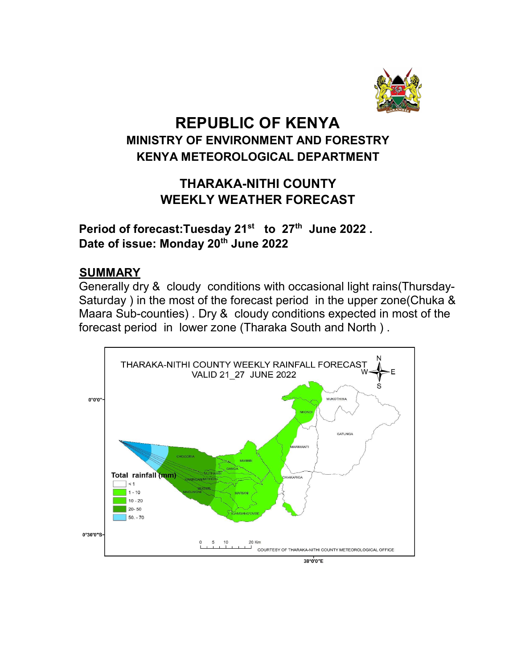

# REPUBLIC OF KENYA MINISTRY OF ENVIRONMENT AND FORESTRY KENYA METEOROLOGICAL DEPARTMENT

## THARAKA-NITHI COUNTY WEEKLY WEATHER FORECAST

Period of forecast:Tuesday 21<sup>st</sup> to 27<sup>th</sup> June 2022. Date of issue: Monday 20<sup>th</sup> June 2022

## **SUMMARY**

Generally dry & cloudy conditions with occasional light rains(Thursday-Saturday ) in the most of the forecast period in the upper zone(Chuka & Maara Sub-counties) . Dry & cloudy conditions expected in most of the forecast period in lower zone (Tharaka South and North ) .

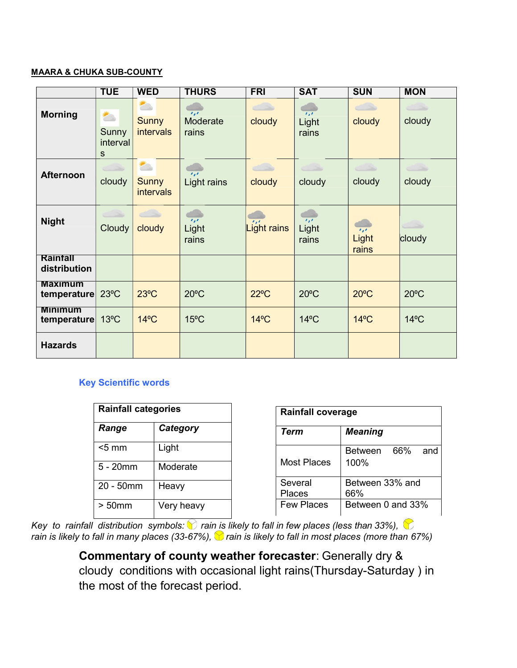#### MAARA & CHUKA SUB-COUNTY

|                                    | <b>TUE</b>                                                    | <b>WED</b>                                                                                                                                                                                                                                                         | <b>THURS</b>                              | <b>FRI</b>                 | <b>SAT</b>                                                           | <b>SUN</b>                         | <b>MON</b>       |
|------------------------------------|---------------------------------------------------------------|--------------------------------------------------------------------------------------------------------------------------------------------------------------------------------------------------------------------------------------------------------------------|-------------------------------------------|----------------------------|----------------------------------------------------------------------|------------------------------------|------------------|
| <b>Morning</b>                     | $\overline{\phantom{a}}$<br>Sunny<br>interval<br>$\mathbf{s}$ | <b>PO</b><br><b>Sunny</b><br><i>intervals</i>                                                                                                                                                                                                                      | $\overline{1,1}$<br>Moderate<br>rains     | cloudy                     | $\mathbf{r},\mathbf{r}$<br>Light<br>rains                            | cloudy                             | cloudy           |
| <b>Afternoon</b>                   | cloudy                                                        | n and the second second second second second second second second second second second second second second second second second second second second second second second second second second second second second second se<br><b>Sunny</b><br><i>intervals</i> | $\mathbf{r}_{i}$<br>Light rains           | cloudy                     | $\subset \rightarrow$<br>cloudy                                      | $\overline{\phantom{a}}$<br>cloudy | $\sim$<br>cloudy |
| <b>Night</b>                       | Cloudy                                                        | cloudy                                                                                                                                                                                                                                                             | a a<br>$\overline{1,1}$<br>Light<br>rains | $^{\prime}$<br>Light rains | $\mathcal{L}_{\mathbf{z}}\mathcal{L}_{\mathbf{z}}$<br>Light<br>rains | $\overline{I}$<br>Light<br>rains   | cloudy           |
| Rainfall<br>distribution           |                                                               |                                                                                                                                                                                                                                                                    |                                           |                            |                                                                      |                                    |                  |
| <b>Maximum</b><br>temperature 23°C |                                                               | $23^{\circ}$ C                                                                                                                                                                                                                                                     | $20^{\circ}$ C                            | $22^{\circ}$ C             | $20^{\circ}$ C                                                       | $20^{\circ}$ C                     | $20^{\circ}$ C   |
| Minimum<br>temperature             | $13^{\circ}$ C                                                | $14^{\circ}$ C                                                                                                                                                                                                                                                     | $15^{\circ}$ C                            | $14^{\circ}$ C             | $14^{\circ}$ C                                                       | $14^{\circ}$ C                     | $14^{\circ}$ C   |
| <b>Hazards</b>                     |                                                               |                                                                                                                                                                                                                                                                    |                                           |                            |                                                                      |                                    |                  |

### Key Scientific words

| <b>Rainfall categories</b> |            |  |  |
|----------------------------|------------|--|--|
| Range                      | Category   |  |  |
| $<$ 5 mm                   | Light      |  |  |
| $5 - 20$ mm                | Moderate   |  |  |
| 20 - 50mm                  | Heavy      |  |  |
| $> 50$ mm                  | Very heavy |  |  |

| <b>Rainfall coverage</b> |                        |     |     |  |  |
|--------------------------|------------------------|-----|-----|--|--|
| Term                     | <b>Meaning</b>         |     |     |  |  |
| Most Places              | <b>Between</b><br>100% | 66% | and |  |  |
| Several<br>Places        | Between 33% and<br>66% |     |     |  |  |
| <b>Few Places</b>        | Between 0 and 33%      |     |     |  |  |

Key to rainfall distribution symbols:  $\bigcirc$  rain is likely to fall in few places (less than 33%),  $\bigcirc$ rain is likely to fall in many places (33-67%),  $\bullet$  rain is likely to fall in most places (more than 67%)

> Commentary of county weather forecaster: Generally dry & cloudy conditions with occasional light rains(Thursday-Saturday ) in the most of the forecast period.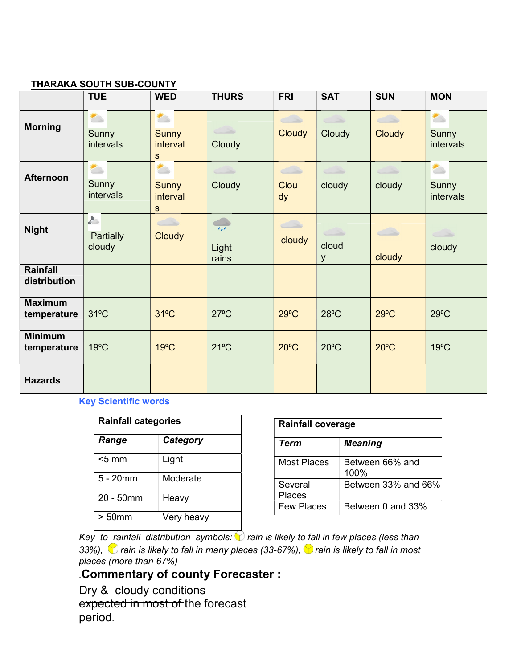#### THARAKA SOUTH SUB-COUNTY

|                               | <b>TUE</b>                                     | <b>WED</b>                                                           | <b>THURS</b>                     | <b>FRI</b>               | <b>SAT</b>       | <b>SUN</b>                                              | <b>MON</b>                                     |
|-------------------------------|------------------------------------------------|----------------------------------------------------------------------|----------------------------------|--------------------------|------------------|---------------------------------------------------------|------------------------------------------------|
| <b>Morning</b>                | 合<br>Sunny<br>intervals                        | 合<br><b>Sunny</b><br>interval<br>S                                   | $\sim$<br>Cloudy                 | $\bigcirc$<br>Cloudy     | د ک<br>Cloudy    | $\overline{\phantom{a}}$<br>Cloudy                      | $\overline{\phantom{a}}$<br>Sunny<br>intervals |
| <b>Afternoon</b>              | $\overline{\phantom{a}}$<br>Sunny<br>intervals | $\overline{\phantom{a}}$<br><b>Sunny</b><br>interval<br>$\mathbf{s}$ | $\longrightarrow$<br>Cloudy      | $\bigcirc$<br>Clou<br>dy | cloudy           | $\left\langle \rule{0cm}{1.4cm}\right\rangle$<br>cloudy | $\overline{\phantom{a}}$<br>Sunny<br>intervals |
| <b>Night</b>                  | $\sum_{i=1}^{n}$<br>Partially<br>cloudy        | د ک<br><b>Cloudy</b>                                                 | $\overline{r}$<br>Light<br>rains | $\bigcirc$<br>cloudy     | حت<br>cloud<br>У | $\subset \mathbb{R}$<br>cloudy                          | cloudy                                         |
| Rainfall<br>distribution      |                                                |                                                                      |                                  |                          |                  |                                                         |                                                |
| <b>Maximum</b><br>temperature | $31^{\circ}$ C                                 | $31^{\circ}$ C                                                       | $27^{\circ}$ C                   | $29^{\circ}$ C           | $28^{\circ}$ C   | $29^{\circ}$ C                                          | $29^{\circ}$ C                                 |
| <b>Minimum</b><br>temperature | $19^{\circ}$ C                                 | 19°C                                                                 | $21^{\circ}$ C                   | $20^{\circ}$ C           | $20^{\circ}$ C   | $20^{\circ}$ C                                          | $19^{\circ}$ C                                 |
| <b>Hazards</b>                |                                                |                                                                      |                                  |                          |                  |                                                         |                                                |

Key Scientific words

| <b>Rainfall categories</b> |            |  |  |
|----------------------------|------------|--|--|
| Range                      | Category   |  |  |
| $<$ 5 mm                   | Light      |  |  |
| $5 - 20$ mm                | Moderate   |  |  |
| 20 - 50mm                  | Heavy      |  |  |
| $> 50$ mm                  | Very heavy |  |  |

| <b>Rainfall coverage</b> |                            |  |  |  |
|--------------------------|----------------------------|--|--|--|
| Term                     | <b>Meaning</b>             |  |  |  |
| Most Places              | Between 66% and<br>$100\%$ |  |  |  |
| Several<br>Places        | Between 33% and 66%        |  |  |  |
| Few Places               | Between 0 and 33%          |  |  |  |

Key to rainfall distribution symbols:  $\bigcirc$  rain is likely to fall in few places (less than 33%),  $\bigcirc$  rain is likely to fall in many places (33-67%),  $\bigcirc$  rain is likely to fall in most places (more than 67%)

## .Commentary of county Forecaster :

Dry & cloudy conditions expected in most of the forecast period.